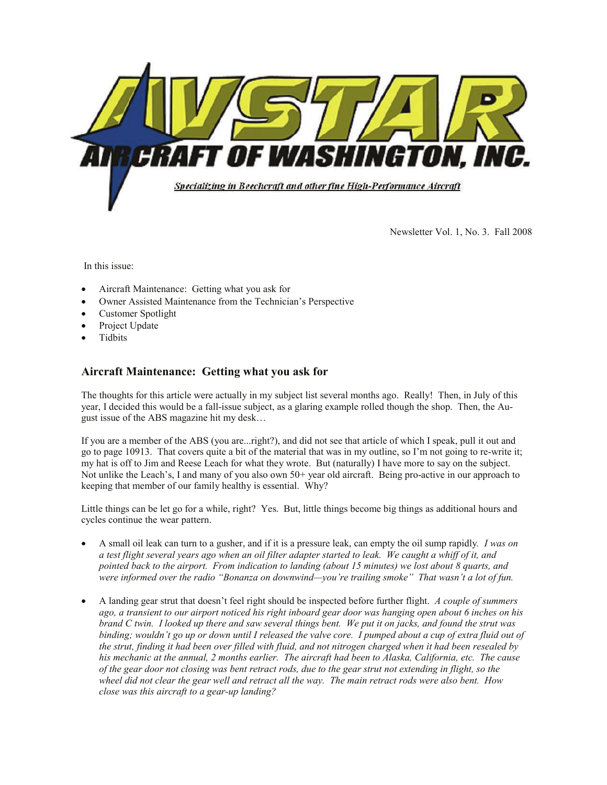

Newsletter Vol. 1, No. 3. Fall 2008

In this issue:

- Aircraft Maintenance: Getting what you ask for
- Owner Assisted Maintenance from the Technician's Perspective
- Customer Spotlight
- Project Update
- **Tidbits**

### **Aircraft Maintenance: Getting what you ask for**

The thoughts for this article were actually in my subject list several months ago. Really! Then, in July of this year, I decided this would be a fall-issue subject, as a glaring example rolled though the shop. Then, the August issue of the ABS magazine hit my desk…

If you are a member of the ABS (you are...right?), and did not see that article of which I speak, pull it out and go to page 10913. That covers quite a bit of the material that was in my outline, so I'm not going to re-write it; my hat is off to Jim and Reese Leach for what they wrote. But (naturally) I have more to say on the subject. Not unlike the Leach's, I and many of you also own 50+ year old aircraft. Being pro-active in our approach to keeping that member of our family healthy is essential. Why?

Little things can be let go for a while, right? Yes. But, little things become big things as additional hours and cycles continue the wear pattern.

- A small oil leak can turn to a gusher, and if it is a pressure leak, can empty the oil sump rapidly*. I was on a test flight several years ago when an oil filter adapter started to leak. We caught a whiff of it, and pointed back to the airport. From indication to landing (about 15 minutes) we lost about 8 quarts, and were informed over the radio "Bonanza on downwind—you're trailing smoke" That wasn't a lot of fun.*
- A landing gear strut that doesn't feel right should be inspected before further flight. *A couple of summers ago, a transient to our airport noticed his right inboard gear door was hanging open about 6 inches on his brand C twin. I looked up there and saw several things bent. We put it on jacks, and found the strut was binding; wouldn't go up or down until I released the valve core. I pumped about a cup of extra fluid out of the strut, finding it had been over filled with fluid, and not nitrogen charged when it had been resealed by his mechanic at the annual, 2 months earlier. The aircraft had been to Alaska, California, etc. The cause of the gear door not closing was bent retract rods, due to the gear strut not extending in flight, so the wheel did not clear the gear well and retract all the way. The main retract rods were also bent. How close was this aircraft to a gear-up landing?*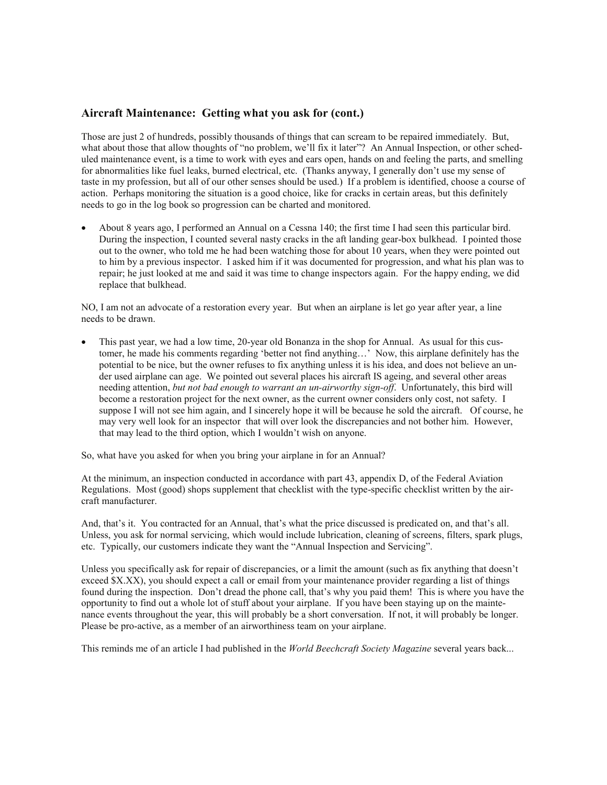#### **Aircraft Maintenance: Getting what you ask for (cont.)**

Those are just 2 of hundreds, possibly thousands of things that can scream to be repaired immediately. But, what about those that allow thoughts of "no problem, we'll fix it later"? An Annual Inspection, or other scheduled maintenance event, is a time to work with eyes and ears open, hands on and feeling the parts, and smelling for abnormalities like fuel leaks, burned electrical, etc. (Thanks anyway, I generally don't use my sense of taste in my profession, but all of our other senses should be used.) If a problem is identified, choose a course of action. Perhaps monitoring the situation is a good choice, like for cracks in certain areas, but this definitely needs to go in the log book so progression can be charted and monitored.

• About 8 years ago, I performed an Annual on a Cessna 140; the first time I had seen this particular bird. During the inspection, I counted several nasty cracks in the aft landing gear-box bulkhead. I pointed those out to the owner, who told me he had been watching those for about 10 years, when they were pointed out to him by a previous inspector. I asked him if it was documented for progression, and what his plan was to repair; he just looked at me and said it was time to change inspectors again. For the happy ending, we did replace that bulkhead.

NO, I am not an advocate of a restoration every year. But when an airplane is let go year after year, a line needs to be drawn.

• This past year, we had a low time, 20-year old Bonanza in the shop for Annual. As usual for this customer, he made his comments regarding 'better not find anything…' Now, this airplane definitely has the potential to be nice, but the owner refuses to fix anything unless it is his idea, and does not believe an under used airplane can age. We pointed out several places his aircraft IS ageing, and several other areas needing attention, *but not bad enough to warrant an un-airworthy sign-off*. Unfortunately, this bird will become a restoration project for the next owner, as the current owner considers only cost, not safety. I suppose I will not see him again, and I sincerely hope it will be because he sold the aircraft. Of course, he may very well look for an inspector that will over look the discrepancies and not bother him. However, that may lead to the third option, which I wouldn't wish on anyone.

So, what have you asked for when you bring your airplane in for an Annual?

At the minimum, an inspection conducted in accordance with part 43, appendix D, of the Federal Aviation Regulations. Most (good) shops supplement that checklist with the type-specific checklist written by the aircraft manufacturer.

And, that's it. You contracted for an Annual, that's what the price discussed is predicated on, and that's all. Unless, you ask for normal servicing, which would include lubrication, cleaning of screens, filters, spark plugs, etc. Typically, our customers indicate they want the "Annual Inspection and Servicing".

Unless you specifically ask for repair of discrepancies, or a limit the amount (such as fix anything that doesn't exceed \$X.XX), you should expect a call or email from your maintenance provider regarding a list of things found during the inspection. Don't dread the phone call, that's why you paid them! This is where you have the opportunity to find out a whole lot of stuff about your airplane. If you have been staying up on the maintenance events throughout the year, this will probably be a short conversation. If not, it will probably be longer. Please be pro-active, as a member of an airworthiness team on your airplane.

This reminds me of an article I had published in the *World Beechcraft Society Magazine* several years back...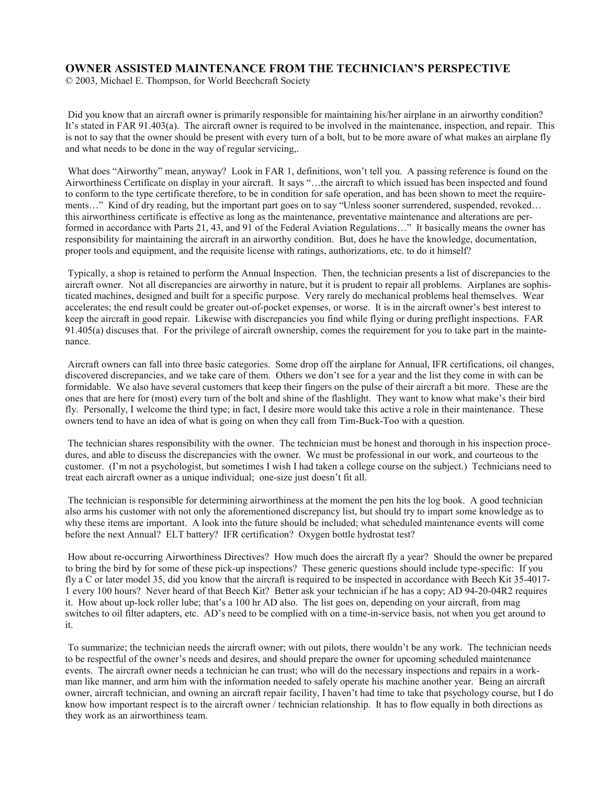#### **OWNER ASSISTED MAINTENANCE FROM THE TECHNICIAN'S PERSPECTIVE**

© 2003, Michael E. Thompson, for World Beechcraft Society

Did you know that an aircraft owner is primarily responsible for maintaining his/her airplane in an airworthy condition? It's stated in FAR 91.403(a). The aircraft owner is required to be involved in the maintenance, inspection, and repair. This is not to say that the owner should be present with every turn of a bolt, but to be more aware of what makes an airplane fly and what needs to be done in the way of regular servicing,.

What does "Airworthy" mean, anyway? Look in FAR 1, definitions, won't tell you. A passing reference is found on the Airworthiness Certificate on display in your aircraft. It says "…the aircraft to which issued has been inspected and found to conform to the type certificate therefore, to be in condition for safe operation, and has been shown to meet the requirements…" Kind of dry reading, but the important part goes on to say "Unless sooner surrendered, suspended, revoked… this airworthiness certificate is effective as long as the maintenance, preventative maintenance and alterations are performed in accordance with Parts 21, 43, and 91 of the Federal Aviation Regulations…" It basically means the owner has responsibility for maintaining the aircraft in an airworthy condition. But, does he have the knowledge, documentation, proper tools and equipment, and the requisite license with ratings, authorizations, etc. to do it himself?

 Typically, a shop is retained to perform the Annual Inspection. Then, the technician presents a list of discrepancies to the aircraft owner. Not all discrepancies are airworthy in nature, but it is prudent to repair all problems. Airplanes are sophisticated machines, designed and built for a specific purpose. Very rarely do mechanical problems heal themselves. Wear accelerates; the end result could be greater out-of-pocket expenses, or worse. It is in the aircraft owner's best interest to keep the aircraft in good repair. Likewise with discrepancies you find while flying or during preflight inspections. FAR 91.405(a) discuses that. For the privilege of aircraft ownership, comes the requirement for you to take part in the maintenance.

 Aircraft owners can fall into three basic categories. Some drop off the airplane for Annual, IFR certifications, oil changes, discovered discrepancies, and we take care of them. Others we don't see for a year and the list they come in with can be formidable. We also have several customers that keep their fingers on the pulse of their aircraft a bit more. These are the ones that are here for (most) every turn of the bolt and shine of the flashlight. They want to know what make's their bird fly. Personally, I welcome the third type; in fact, I desire more would take this active a role in their maintenance. These owners tend to have an idea of what is going on when they call from Tim-Buck-Too with a question.

 The technician shares responsibility with the owner. The technician must be honest and thorough in his inspection procedures, and able to discuss the discrepancies with the owner. We must be professional in our work, and courteous to the customer. (I'm not a psychologist, but sometimes I wish I had taken a college course on the subject.) Technicians need to treat each aircraft owner as a unique individual; one-size just doesn't fit all.

 The technician is responsible for determining airworthiness at the moment the pen hits the log book. A good technician also arms his customer with not only the aforementioned discrepancy list, but should try to impart some knowledge as to why these items are important. A look into the future should be included; what scheduled maintenance events will come before the next Annual? ELT battery? IFR certification? Oxygen bottle hydrostat test?

 How about re-occurring Airworthiness Directives? How much does the aircraft fly a year? Should the owner be prepared to bring the bird by for some of these pick-up inspections? These generic questions should include type-specific: If you fly a C or later model 35, did you know that the aircraft is required to be inspected in accordance with Beech Kit 35-4017- 1 every 100 hours? Never heard of that Beech Kit? Better ask your technician if he has a copy; AD 94-20-04R2 requires it. How about up-lock roller lube; that's a 100 hr AD also. The list goes on, depending on your aircraft, from mag switches to oil filter adapters, etc. AD's need to be complied with on a time-in-service basis, not when you get around to it.

 To summarize; the technician needs the aircraft owner; with out pilots, there wouldn't be any work. The technician needs to be respectful of the owner's needs and desires, and should prepare the owner for upcoming scheduled maintenance events. The aircraft owner needs a technician he can trust; who will do the necessary inspections and repairs in a workman like manner, and arm him with the information needed to safely operate his machine another year. Being an aircraft owner, aircraft technician, and owning an aircraft repair facility, I haven't had time to take that psychology course, but I do know how important respect is to the aircraft owner / technician relationship. It has to flow equally in both directions as they work as an airworthiness team.